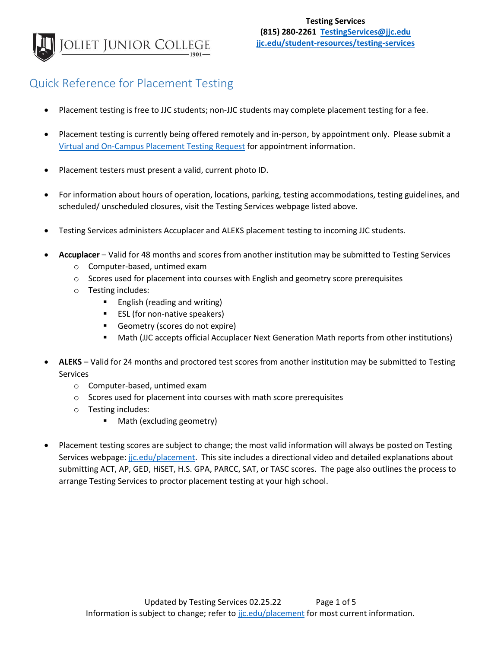

/placement-testing

## Quick Reference for Placement Testing

- Placement testing is free to JJC students; non-JJC students may complete placement testing for a fee.
- Placement testing is currently being offered remotely and in-person, by appointment only. Please submit a [Virtual and On-Campus Placement Testing Request](https://forms.office.com/Pages/ResponsePage.aspx?id=3pQeWC9-aU2dX3kdL7jzGlM9Nce6gipDmuMPMBjfrGhURUNBWVBaTVg4OEsyQkJEOUZPNVNSM1BTNy4u) for appointment information.
- Placement testers must present a valid, current photo ID.
- For information about hours of operation, locations, parking, testing accommodations, testing guidelines, and scheduled/ unscheduled closures, visit the Testing Services webpage listed above.
- Testing Services administers Accuplacer and ALEKS placement testing to incoming JJC students.
- **Accuplacer** Valid for 48 months and scores from another institution may be submitted to Testing Services
	- o Computer-based, untimed exam
	- $\circ$  Scores used for placement into courses with English and geometry score prerequisites
	- o Testing includes:
		- English (reading and writing)
		- ESL (for non-native speakers)
		- Geometry (scores do not expire)
		- **■** Math (JJC accepts official Accuplacer Next Generation Math reports from other institutions)
- **ALEKS** Valid for 24 months and proctored test scores from another institution may be submitted to Testing Services
	- o Computer-based, untimed exam
	- o Scores used for placement into courses with math score prerequisites
	- o Testing includes:
		- Math (excluding geometry)
- Placement testing scores are subject to change; the most valid information will always be posted on Testing Services webpage: [jjc.edu/placement.](file:///C:/Users/sbraun/AppData/Local/Packages/Microsoft.MicrosoftEdge_8wekyb3d8bbwe/TempState/Downloads/jjc.edu/placement) This site includes a directional video and detailed explanations about submitting ACT, AP, GED, HiSET, H.S. GPA, PARCC, SAT, or TASC scores. The page also outlines the process to arrange Testing Services to proctor placement testing at your high school.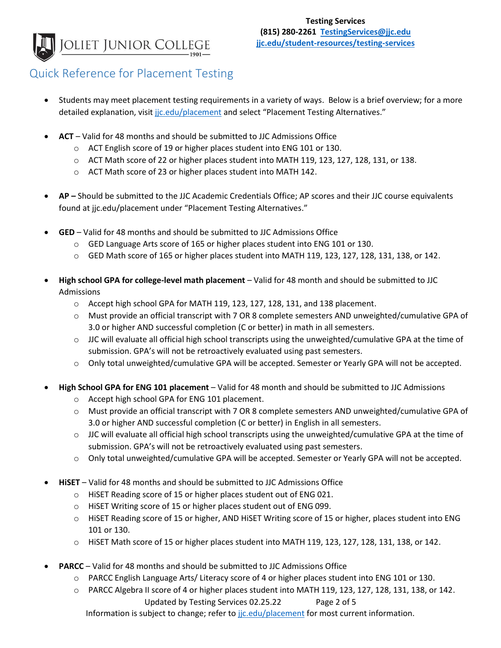JOLIET JUNIOR COLLEGE

/placement-testing

## Quick Reference for Placement Testing

- Students may meet placement testing requirements in a variety of ways. Below is a brief overview; for a more detailed explanation, visit [jjc.edu/placement](file:///C:/Users/sbraun/AppData/Local/Packages/Microsoft.MicrosoftEdge_8wekyb3d8bbwe/TempState/Downloads/jjc.edu/placement) and select "Placement Testing Alternatives."
- **ACT** Valid for 48 months and should be submitted to JJC Admissions Office
	- o ACT English score of 19 or higher places student into ENG 101 or 130.
	- o ACT Math score of 22 or higher places student into MATH 119, 123, 127, 128, 131, or 138.
	- o ACT Math score of 23 or higher places student into MATH 142.
- **AP –** Should be submitted to the JJC Academic Credentials Office; AP scores and their JJC course equivalents found at jjc.edu/placement under "Placement Testing Alternatives."
- **GED** Valid for 48 months and should be submitted to JJC Admissions Office
	- o GED Language Arts score of 165 or higher places student into ENG 101 or 130.
	- o GED Math score of 165 or higher places student into MATH 119, 123, 127, 128, 131, 138, or 142.
- **High school GPA for college-level math placement** Valid for 48 month and should be submitted to JJC Admissions
	- $\circ$  Accept high school GPA for MATH 119, 123, 127, 128, 131, and 138 placement.
	- o Must provide an official transcript with 7 OR 8 complete semesters AND unweighted/cumulative GPA of 3.0 or higher AND successful completion (C or better) in math in all semesters.
	- $\circ$  JJC will evaluate all official high school transcripts using the unweighted/cumulative GPA at the time of submission. GPA's will not be retroactively evaluated using past semesters.
	- o Only total unweighted/cumulative GPA will be accepted. Semester or Yearly GPA will not be accepted.
- **High School GPA for ENG 101 placement** Valid for 48 month and should be submitted to JJC Admissions
	- o Accept high school GPA for ENG 101 placement.
	- o Must provide an official transcript with 7 OR 8 complete semesters AND unweighted/cumulative GPA of 3.0 or higher AND successful completion (C or better) in English in all semesters.
	- $\circ$  JJC will evaluate all official high school transcripts using the unweighted/cumulative GPA at the time of submission. GPA's will not be retroactively evaluated using past semesters.
	- o Only total unweighted/cumulative GPA will be accepted. Semester or Yearly GPA will not be accepted.
- **HiSET**  Valid for 48 months and should be submitted to JJC Admissions Office
	- o HiSET Reading score of 15 or higher places student out of ENG 021.
	- o HiSET Writing score of 15 or higher places student out of ENG 099.
	- o HiSET Reading score of 15 or higher, AND HiSET Writing score of 15 or higher, places student into ENG 101 or 130.
	- o HiSET Math score of 15 or higher places student into MATH 119, 123, 127, 128, 131, 138, or 142.
- **PARCC**  Valid for 48 months and should be submitted to JJC Admissions Office
	- o PARCC English Language Arts/ Literacy score of 4 or higher places student into ENG 101 or 130.
	- Updated by Testing Services 02.25.22 Page 2 of 5 o PARCC Algebra II score of 4 or higher places student into MATH 119, 123, 127, 128, 131, 138, or 142.

Information is subject to change; refer to jic.edu/placement for most current information.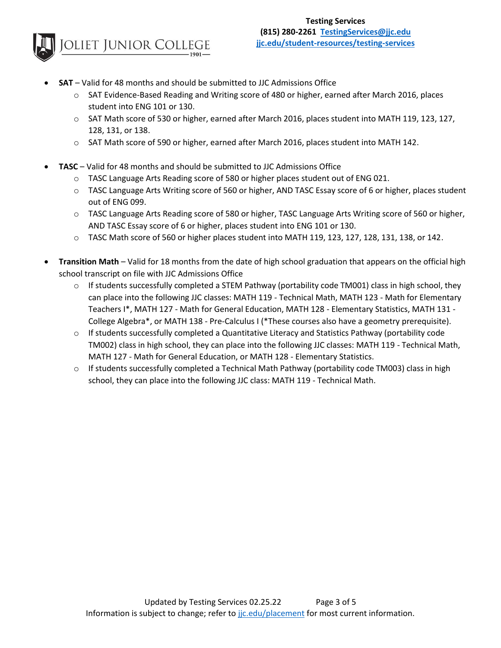

/placement-testing

- **SAT**  Valid for 48 months and should be submitted to JJC Admissions Office
	- o SAT Evidence-Based Reading and Writing score of 480 or higher, earned after March 2016, places student into ENG 101 or 130.
	- o SAT Math score of 530 or higher, earned after March 2016, places student into MATH 119, 123, 127, 128, 131, or 138.
	- o SAT Math score of 590 or higher, earned after March 2016, places student into MATH 142.
- **TASC**  Valid for 48 months and should be submitted to JJC Admissions Office
	- $\circ$  TASC Language Arts Reading score of 580 or higher places student out of ENG 021.
	- o TASC Language Arts Writing score of 560 or higher, AND TASC Essay score of 6 or higher, places student out of ENG 099.
	- o TASC Language Arts Reading score of 580 or higher, TASC Language Arts Writing score of 560 or higher, AND TASC Essay score of 6 or higher, places student into ENG 101 or 130.
	- o TASC Math score of 560 or higher places student into MATH 119, 123, 127, 128, 131, 138, or 142.
- **Transition Math**  Valid for 18 months from the date of high school graduation that appears on the official high school transcript on file with JJC Admissions Office
	- $\circ$  If students successfully completed a STEM Pathway (portability code TM001) class in high school, they can place into the following JJC classes: MATH 119 - Technical Math, MATH 123 - Math for Elementary Teachers I\*, MATH 127 - Math for General Education, MATH 128 - Elementary Statistics, MATH 131 - College Algebra\*, or MATH 138 - Pre-Calculus I (\*These courses also have a geometry prerequisite).
	- $\circ$  If students successfully completed a Quantitative Literacy and Statistics Pathway (portability code TM002) class in high school, they can place into the following JJC classes: MATH 119 - Technical Math, MATH 127 - Math for General Education, or MATH 128 - Elementary Statistics.
	- $\circ$  If students successfully completed a Technical Math Pathway (portability code TM003) class in high school, they can place into the following JJC class: MATH 119 - Technical Math.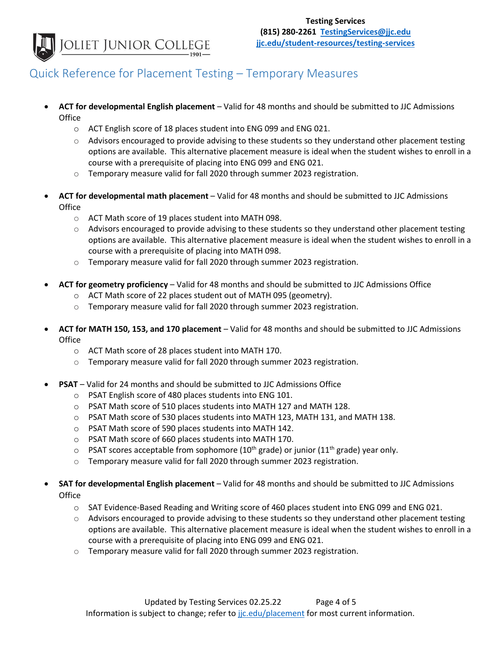JOLIET JUNIOR COLLEGE

/placement-testing

## Quick Reference for Placement Testing – Temporary Measures

- **ACT for developmental English placement** Valid for 48 months and should be submitted to JJC Admissions Office
	- o ACT English score of 18 places student into ENG 099 and ENG 021.
	- $\circ$  Advisors encouraged to provide advising to these students so they understand other placement testing options are available. This alternative placement measure is ideal when the student wishes to enroll in a course with a prerequisite of placing into ENG 099 and ENG 021.
	- o Temporary measure valid for fall 2020 through summer 2023 registration.
- **ACT for developmental math placement** Valid for 48 months and should be submitted to JJC Admissions **Office** 
	- o ACT Math score of 19 places student into MATH 098.
	- $\circ$  Advisors encouraged to provide advising to these students so they understand other placement testing options are available. This alternative placement measure is ideal when the student wishes to enroll in a course with a prerequisite of placing into MATH 098.
	- $\circ$  Temporary measure valid for fall 2020 through summer 2023 registration.
- **ACT for geometry proficiency** Valid for 48 months and should be submitted to JJC Admissions Office
	- o ACT Math score of 22 places student out of MATH 095 (geometry).
	- o Temporary measure valid for fall 2020 through summer 2023 registration.
- **ACT for MATH 150, 153, and 170 placement** Valid for 48 months and should be submitted to JJC Admissions **Office** 
	- o ACT Math score of 28 places student into MATH 170.
	- o Temporary measure valid for fall 2020 through summer 2023 registration.
- **PSAT** Valid for 24 months and should be submitted to JJC Admissions Office
	- o PSAT English score of 480 places students into ENG 101.
	- o PSAT Math score of 510 places students into MATH 127 and MATH 128.
	- o PSAT Math score of 530 places students into MATH 123, MATH 131, and MATH 138.
	- o PSAT Math score of 590 places students into MATH 142.
	- o PSAT Math score of 660 places students into MATH 170.
	- $\circ$  PSAT scores acceptable from sophomore (10<sup>th</sup> grade) or junior (11<sup>th</sup> grade) year only.
	- o Temporary measure valid for fall 2020 through summer 2023 registration.
- **SAT for developmental English placement** Valid for 48 months and should be submitted to JJC Admissions **Office** 
	- o SAT Evidence-Based Reading and Writing score of 460 places student into ENG 099 and ENG 021.
	- $\circ$  Advisors encouraged to provide advising to these students so they understand other placement testing options are available. This alternative placement measure is ideal when the student wishes to enroll in a course with a prerequisite of placing into ENG 099 and ENG 021.
	- o Temporary measure valid for fall 2020 through summer 2023 registration.